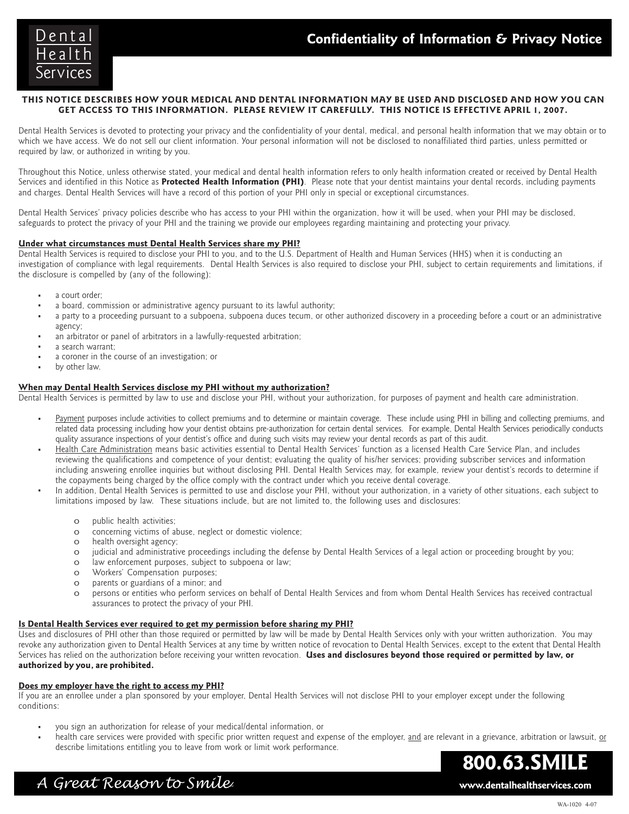

## **THIS NOTICE DESCRIBES HOW YOUR MEDICAL AND DENTAL INFORMATION MAY BE USED AND DISCLOSED AND HOW YOU CAN GET ACCESS TO THIS INFORMATION. PLEASE REVIEW IT CAREFULLY. THIS NOTICE IS EFFECTIVE APRIL 1, 2007.**

Dental Health Services is devoted to protecting your privacy and the confidentiality of your dental, medical, and personal health information that we may obtain or to which we have access. We do not sell our client information. Your personal information will not be disclosed to nonaffiliated third parties, unless permitted or required by law, or authorized in writing by you.

Throughout this Notice, unless otherwise stated, your medical and dental health information refers to only health information created or received by Dental Health Services and identified in this Notice as **Protected Health Information (PHI)**. Please note that your dentist maintains your dental records, including payments and charges. Dental Health Services will have a record of this portion of your PHI only in special or exceptional circumstances.

Dental Health Services' privacy policies describe who has access to your PHI within the organization, how it will be used, when your PHI may be disclosed, safeguards to protect the privacy of your PHI and the training we provide our employees regarding maintaining and protecting your privacy.

# **Under what circumstances must Dental Health Services share my PHI?**

Dental Health Services is required to disclose your PHI to you, and to the U.S. Department of Health and Human Services (HHS) when it is conducting an investigation of compliance with legal requirements. Dental Health Services is also required to disclose your PHI, subject to certain requirements and limitations, if the disclosure is compelled by (any of the following):

- a court order;
- · a board, commission or administrative agency pursuant to its lawful authority;
- a party to a proceeding pursuant to a subpoena, subpoena duces tecum, or other authorized discovery in a proceeding before a court or an administrative agency;
- an arbitrator or panel of arbitrators in a lawfully-requested arbitration;
- a search warrant;
- a coroner in the course of an investigation; or
- by other law.

## **When may Dental Health Services disclose my PHI without my authorization?**

Dental Health Services is permitted by law to use and disclose your PHI, without your authorization, for purposes of payment and health care administration.

- Payment purposes include activities to collect premiums and to determine or maintain coverage. These include using PHI in billing and collecting premiums, and related data processing including how your dentist obtains pre-authorization for certain dental services. For example, Dental Health Services periodically conducts quality assurance inspections of your dentist's office and during such visits may review your dental records as part of this audit.
- Health Care Administration means basic activities essential to Dental Health Services' function as a licensed Health Care Service Plan, and includes reviewing the qualifications and competence of your dentist; evaluating the quality of his/her services; providing subscriber services and information including answering enrollee inquiries but without disclosing PHI. Dental Health Services may, for example, review your dentist's records to determine if the copayments being charged by the office comply with the contract under which you receive dental coverage.
- In addition, Dental Health Services is permitted to use and disclose your PHI, without your authorization, in a variety of other situations, each subject to limitations imposed by law. These situations include, but are not limited to, the following uses and disclosures:
	- o public health activities;
	- o concerning victims of abuse, neglect or domestic violence;
	- o health oversight agency;
	- o judicial and administrative proceedings including the defense by Dental Health Services of a legal action or proceeding brought by you;
	- o law enforcement purposes, subject to subpoena or law;
	- o Workers' Compensation purposes;
	- o parents or guardians of a minor; and
	- o persons or entities who perform services on behalf of Dental Health Services and from whom Dental Health Services has received contractual assurances to protect the privacy of your PHI.

#### **Is Dental Health Services ever required to get my permission before sharing my PHI?**

Uses and disclosures of PHI other than those required or permitted by law will be made by Dental Health Services only with your written authorization. You may revoke any authorization given to Dental Health Services at any time by written notice of revocation to Dental Health Services, except to the extent that Dental Health Services has relied on the authorization before receiving your written revocation. **Uses and disclosures beyond those required or permitted by law, or authorized by you, are prohibited.**

#### **Does my employer have the right to access my PHI?**

If you are an enrollee under a plan sponsored by your employer, Dental Health Services will not disclose PHI to your employer except under the following conditions:

- · you sign an authorization for release of your medical/dental information, or
- health care services were provided with specific prior written request and expense of the employer, and are relevant in a grievance, arbitration or lawsuit, or describe limitations entitling you to leave from work or limit work performance.

**800.63.SMILE**